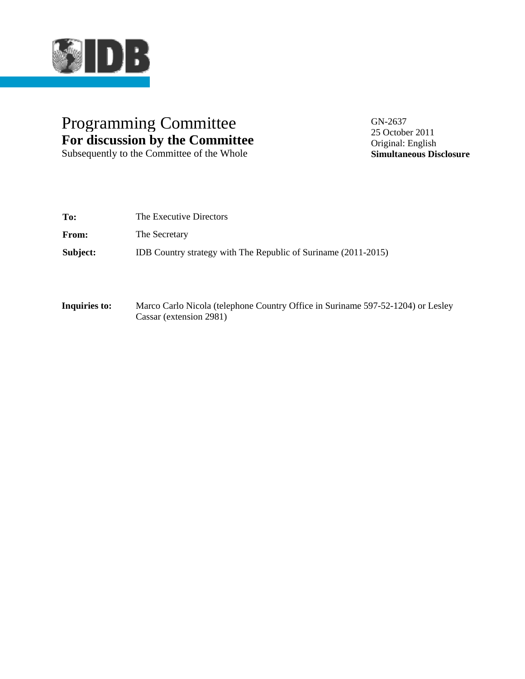

## Programming Committee GN-2637 **For discussion by the Committee**

Subsequently to the Committee of the Whole

25 October 2011 Original: English **Simultaneous Disclosure**

| To:      | The Executive Directors                                        |
|----------|----------------------------------------------------------------|
| From:    | The Secretary                                                  |
| Subject: | IDB Country strategy with The Republic of Suriname (2011-2015) |

**Inquiries to:** Marco Carlo Nicola (telephone Country Office in Suriname 597-52-1204) or Lesley Cassar (extension 2981)